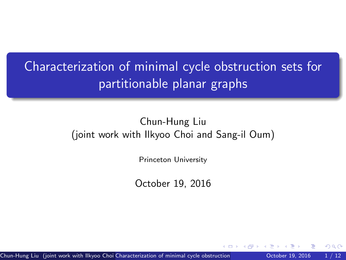<span id="page-0-0"></span>Characterization of minimal cycle obstruction sets for partitionable planar graphs

### Chun-Hung Liu (joint work with Ilkyoo Choi and Sang-il Oum)

Princeton University

October 19, 2016

Chun-Hung Liu (joint work with Ilkyoo Choi Characterization of minimal cycle obstruction **Character 19, 2016** 1 / 12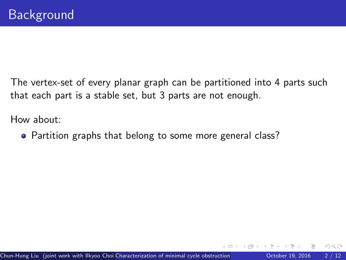$\Omega$ 

How about:

• Partition graphs that belong to some more general class?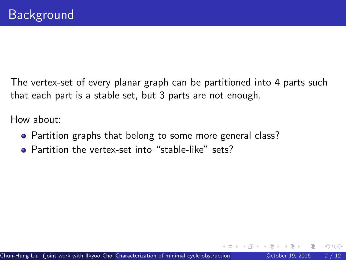How about:

- Partition graphs that belong to some more general class?
- Partition the vertex-set into "stable-like" sets?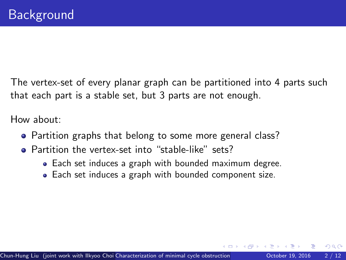How about:

- Partition graphs that belong to some more general class?
- Partition the vertex-set into "stable-like" sets?
	- Each set induces a graph with bounded maximum degree.
	- Each set induces a graph with bounded component size.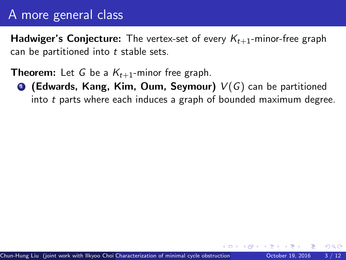**Hadwiger's Conjecture:** The vertex-set of every  $K_{t+1}$ -minor-free graph can be partitioned into  $t$  stable sets.

**Theorem:** Let G be a  $K_{t+1}$ -minor free graph.

**• (Edwards, Kang, Kim, Oum, Seymour)**  $V(G)$  can be partitioned into t parts where each induces a graph of bounded maximum degree.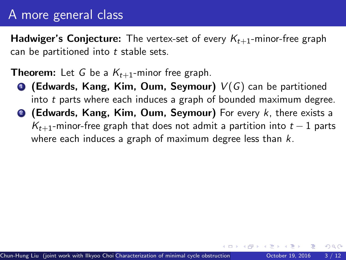**Hadwiger's Conjecture:** The vertex-set of every  $K_{t+1}$ -minor-free graph can be partitioned into  $t$  stable sets.

**Theorem:** Let G be a  $K_{t+1}$ -minor free graph.

- **(Edwards, Kang, Kim, Oum, Seymour)**  $V(G)$  can be partitioned into t parts where each induces a graph of bounded maximum degree.
- <sup>2</sup> (Edwards, Kang, Kim, Oum, Seymour) For every k, there exists a  $K_{t+1}$ -minor-free graph that does not admit a partition into  $t-1$  parts where each induces a graph of maximum degree less than  $k$ .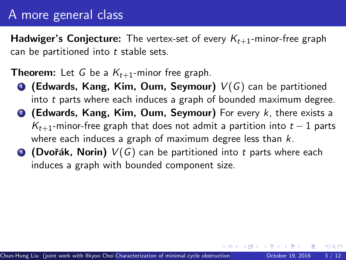**Hadwiger's Conjecture:** The vertex-set of every  $K_{t+1}$ -minor-free graph can be partitioned into  $t$  stable sets.

**Theorem:** Let G be a  $K_{t+1}$ -minor free graph.

- **(Edwards, Kang, Kim, Oum, Seymour)**  $V(G)$  can be partitioned into t parts where each induces a graph of bounded maximum degree.
- <sup>2</sup> (Edwards, Kang, Kim, Oum, Seymour) For every k, there exists a  $K_{t+1}$ -minor-free graph that does not admit a partition into  $t-1$  parts where each induces a graph of maximum degree less than  $k$ .
- **3** (Dvořák, Norin)  $V(G)$  can be partitioned into t parts where each induces a graph with bounded component size.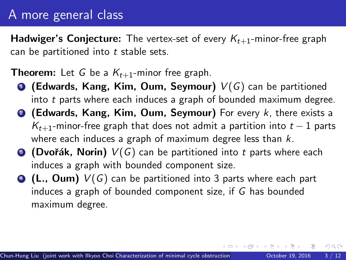**Hadwiger's Conjecture:** The vertex-set of every  $K_{t+1}$ -minor-free graph can be partitioned into  $t$  stable sets.

**Theorem:** Let G be a  $K_{t+1}$ -minor free graph.

- **(Edwards, Kang, Kim, Oum, Seymour)**  $V(G)$  can be partitioned into t parts where each induces a graph of bounded maximum degree.
- <sup>2</sup> (Edwards, Kang, Kim, Oum, Seymour) For every k, there exists a  $K_{t+1}$ -minor-free graph that does not admit a partition into  $t-1$  parts where each induces a graph of maximum degree less than  $k$ .
- **3** (Dvořák, Norin)  $V(G)$  can be partitioned into t parts where each induces a graph with bounded component size.
- $\bullet$  (L., Oum)  $V(G)$  can be partitioned into 3 parts where each part induces a graph of bounded component size, if G has bounded maximum degree.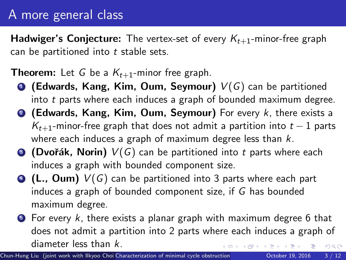**Hadwiger's Conjecture:** The vertex-set of every  $K_{t+1}$ -minor-free graph can be partitioned into  $t$  stable sets.

**Theorem:** Let G be a  $K_{t+1}$ -minor free graph.

- **(Edwards, Kang, Kim, Oum, Seymour)**  $V(G)$  can be partitioned into t parts where each induces a graph of bounded maximum degree.
- <sup>2</sup> (Edwards, Kang, Kim, Oum, Seymour) For every k, there exists a  $K_{t+1}$ -minor-free graph that does not admit a partition into  $t-1$  parts where each induces a graph of maximum degree less than  $k$ .
- **3** (Dvořák, Norin)  $V(G)$  can be partitioned into t parts where each induces a graph with bounded component size.
- $\bullet$  (L., Oum)  $V(G)$  can be partitioned into 3 parts where each part induces a graph of bounded component size, if G has bounded maximum degree.
- $\bullet$  For every k, there exists a planar graph with maximum degree 6 that does not admit a partition into 2 parts where each induces a graph of diameter less than k.  $QQ$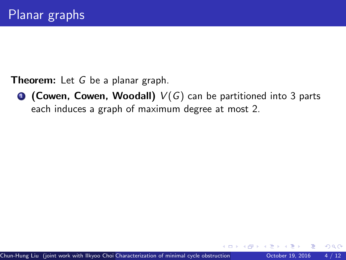**1 (Cowen, Cowen, Woodall)**  $V(G)$  can be partitioned into 3 parts each induces a graph of maximum degree at most 2.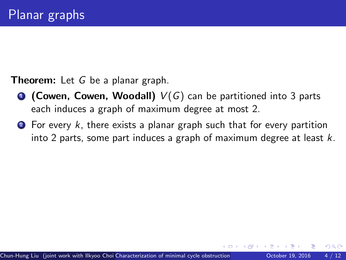- **1 (Cowen, Cowen, Woodall)**  $V(G)$  can be partitioned into 3 parts each induces a graph of maximum degree at most 2.
- $\bullet$  For every k, there exists a planar graph such that for every partition into 2 parts, some part induces a graph of maximum degree at least  $k$ .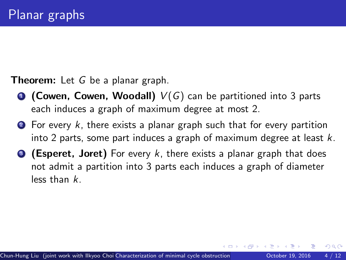- **1 (Cowen, Cowen, Woodall)**  $V(G)$  can be partitioned into 3 parts each induces a graph of maximum degree at most 2.
- $\bullet$  For every k, there exists a planar graph such that for every partition into 2 parts, some part induces a graph of maximum degree at least  $k$ .
- **3 (Esperet, Joret)** For every k, there exists a planar graph that does not admit a partition into 3 parts each induces a graph of diameter less than k.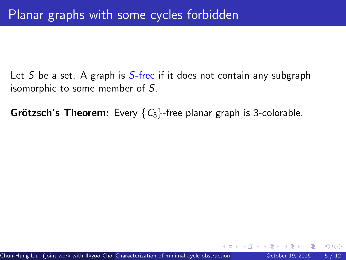Let S be a set. A graph is  $S$ -free if it does not contain any subgraph isomorphic to some member of S.

**Grötzsch's Theorem:** Every  ${C_3}$ -free planar graph is 3-colorable.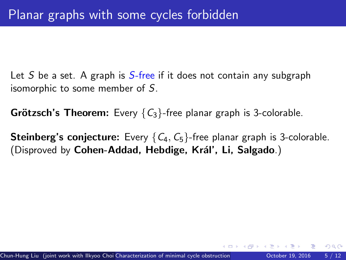Let S be a set. A graph is  $S$ -free if it does not contain any subgraph isomorphic to some member of S.

**Grötzsch's Theorem:** Every  ${C_3}$ -free planar graph is 3-colorable.

**Steinberg's conjecture:** Every  $\{C_4, C_5\}$ -free planar graph is 3-colorable. (Disproved by Cohen-Addad, Hebdige, Král', Li, Salgado.)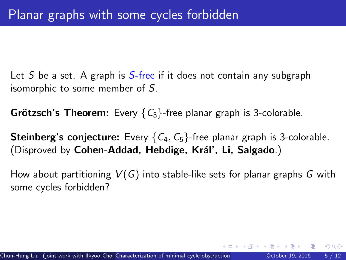Let S be a set. A graph is  $S$ -free if it does not contain any subgraph isomorphic to some member of S.

**Grötzsch's Theorem:** Every  ${C_3}$ -free planar graph is 3-colorable.

**Steinberg's conjecture:** Every  $\{C_4, C_5\}$ -free planar graph is 3-colorable. (Disproved by Cohen-Addad, Hebdige, Král', Li, Salgado.)

How about partitioning  $V(G)$  into stable-like sets for planar graphs G with some cycles forbidden?

 $QQ$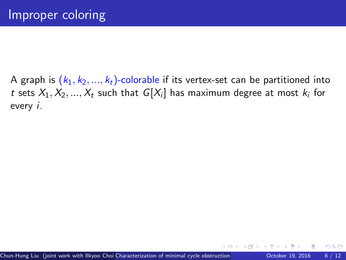A graph is  $(k_1, k_2, ..., k_t)$ -colorable if its vertex-set can be partitioned into  $t$  sets  $X_1, X_2, ..., X_t$  such that  $G[X_i]$  has maximum degree at most  $k_i$  for every i.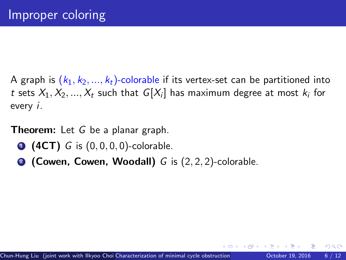A graph is  $(k_1, k_2, ..., k_t)$ -colorable if its vertex-set can be partitioned into  $t$  sets  $X_1, X_2, ..., X_t$  such that  $G[X_i]$  has maximum degree at most  $k_i$  for every i.

Theorem: Let G be a planar graph.

- **1 (4CT)** G is  $(0, 0, 0, 0)$ -colorable.
- <sup>2</sup> (Cowen, Cowen, Woodall) G is (2, 2, 2)-colorable.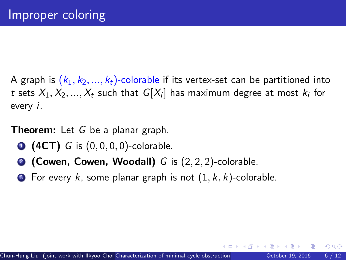A graph is  $(k_1, k_2, ..., k_t)$ -colorable if its vertex-set can be partitioned into  $t$  sets  $X_1, X_2, ..., X_t$  such that  $G[X_i]$  has maximum degree at most  $k_i$  for every i.

**Theorem:** Let G be a planar graph.

- **1 (4CT)** G is  $(0, 0, 0, 0)$ -colorable.
- **2 (Cowen, Cowen, Woodall)** G is  $(2, 2, 2)$ -colorable.
- **3** For every k, some planar graph is not  $(1, k, k)$ -colorable.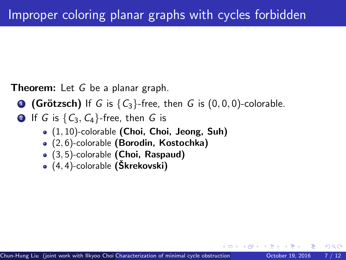**1 (Grötzsch)** If G is  $\{C_3\}$ -free, then G is  $(0, 0, 0)$ -colorable.

**2** If G is  $\{C_3, C_4\}$ -free, then G is

- $\bullet$   $(1, 10)$ -colorable (Choi, Choi, Jeong, Suh)
- (2, 6)-colorable (Borodin, Kostochka)
- $\bullet$  (3,5)-colorable (Choi, Raspaud)
- $(4, 4)$ -colorable (Škrekovski)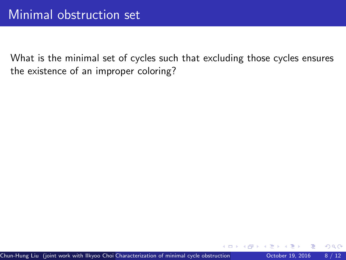What is the minimal set of cycles such that excluding those cycles ensures the existence of an improper coloring?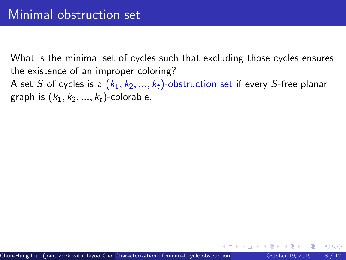What is the minimal set of cycles such that excluding those cycles ensures the existence of an improper coloring? A set S of cycles is a  $(k_1, k_2, ..., k_t)$ -obstruction set if every S-free planar graph is  $(k_1, k_2, ..., k_t)$ -colorable.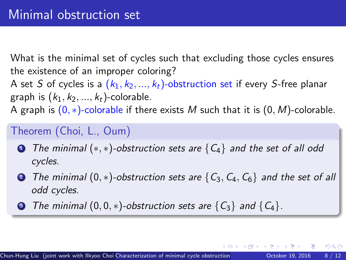What is the minimal set of cycles such that excluding those cycles ensures the existence of an improper coloring? A set S of cycles is a  $(k_1, k_2, ..., k_t)$ -obstruction set if every S-free planar graph is  $(k_1, k_2, ..., k_t)$ -colorable. A graph is  $(0, *)$ -colorable if there exists M such that it is  $(0, M)$ -colorable.

### Theorem (Choi, L., Oum)

- **1** The minimal  $(*, *)$ -obstruction sets are  ${C<sub>4</sub>}$  and the set of all odd cycles.
- 2 The minimal  $(0,*)$ -obstruction sets are  $\{C_3, C_4, C_6\}$  and the set of all odd cycles.
- **3** The minimal  $(0, 0, *)$ -obstruction sets are  $\{C_3\}$  and  $\{C_4\}$ .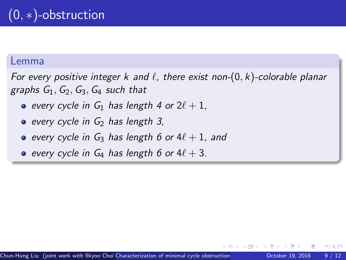For every positive integer k and  $\ell$ , there exist non- $(0, k)$ -colorable planar graphs  $G_1$ ,  $G_2$ ,  $G_3$ ,  $G_4$  such that

• every cycle in  $G_1$  has length 4 or  $2\ell + 1$ ,

 $\bullet$  every cycle in  $G_2$  has length 3.

- every cycle in  $G_3$  has length 6 or  $4\ell + 1$ , and
- e every cycle in  $G_4$  has length 6 or  $4\ell + 3$ .

つへへ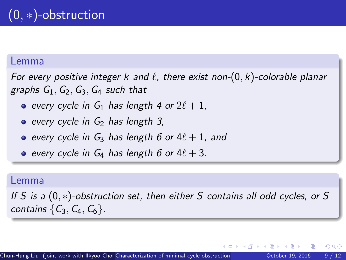For every positive integer k and  $\ell$ , there exist non- $(0, k)$ -colorable planar graphs  $G_1$ ,  $G_2$ ,  $G_3$ ,  $G_4$  such that

• every cycle in  $G_1$  has length 4 or  $2\ell + 1$ ,

 $\bullet$  every cycle in  $G_2$  has length 3,

- every cycle in  $G_3$  has length 6 or  $4\ell + 1$ , and
- e every cycle in  $G_4$  has length 6 or  $4\ell + 3$ .

#### Lemma

If S is a (0, ∗)-obstruction set, then either S contains all odd cycles, or S contains  $\{C_3, C_4, C_6\}$ .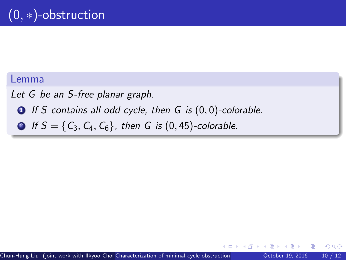Let G be an S-free planar graph.

 $\bigcirc$  If S contains all odd cycle, then G is  $(0, 0)$ -colorable.

**2** If  $S = \{C_3, C_4, C_6\}$ , then G is  $(0, 45)$ -colorable.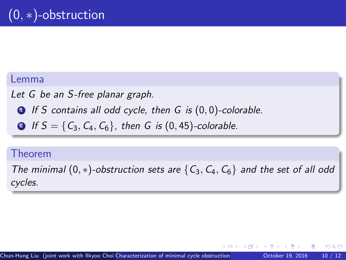Let G be an S-free planar graph.

 $\bullet$  If S contains all odd cycle, then G is  $(0, 0)$ -colorable.

**2** If  $S = \{C_3, C_4, C_6\}$ , then G is  $(0, 45)$ -colorable.

### Theorem

The minimal  $(0,*)$ -obstruction sets are  $\{C_3, C_4, C_6\}$  and the set of all odd cycles.

つへへ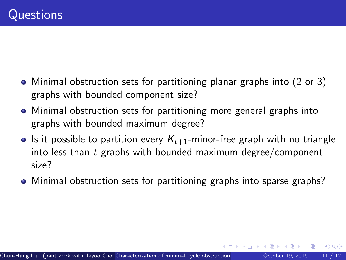- Minimal obstruction sets for partitioning planar graphs into (2 or 3) graphs with bounded component size?
- Minimal obstruction sets for partitioning more general graphs into graphs with bounded maximum degree?
- If is it possible to partition every  $K_{t+1}$ -minor-free graph with no triangle into less than  $t$  graphs with bounded maximum degree/component size?
- Minimal obstruction sets for partitioning graphs into sparse graphs?

 $QQ$